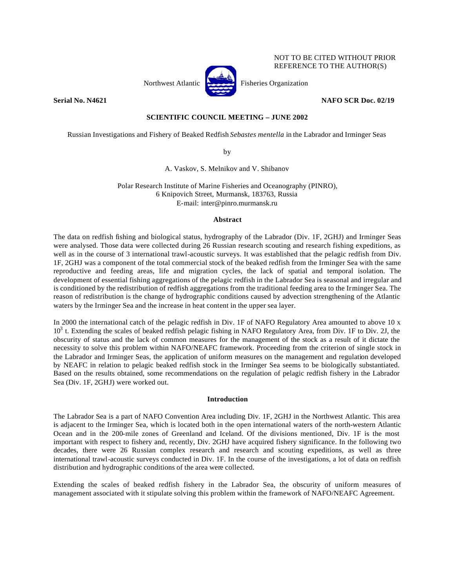

NOT TO BE CITED WITHOUT PRIOR REFERENCE TO THE AUTHOR(S)

### **Serial No. N4621 NAFO SCR Doc. 02/19**

# **SCIENTIFIC COUNCIL MEETING – JUNE 2002**

Russian Investigations and Fishery of Beaked Redfish *Sebastes mentella* in the Labrador and Irminger Seas

by

A. Vaskov, S. Melnikov and V. Shibanov

Polar Research Institute of Marine Fisheries and Oceanography (PINRO), 6 Knipovich Street, Murmansk, 183763, Russia E-mail: inter@pinro.murmansk.ru

## **Abstract**

The data on redfish fishing and biological status, hydrography of the Labrador (Div. 1F, 2GHJ) and Irminger Seas were analysed. Those data were collected during 26 Russian research scouting and research fishing expeditions, as well as in the course of 3 international trawl-acoustic surveys. It was established that the pelagic redfish from Div. 1F, 2GHJ was a component of the total commercial stock of the beaked redfish from the Irminger Sea with the same reproductive and feeding areas, life and migration cycles, the lack of spatial and temporal isolation. The development of essential fishing aggregations of the pelagic redfish in the Labrador Sea is seasonal and irregular and is conditioned by the redistribution of redfish aggregations from the traditional feeding area to the Irminger Sea. The reason of redistribution is the change of hydrographic conditions caused by advection strengthening of the Atlantic waters by the Irminger Sea and the increase in heat content in the upper sea layer.

In 2000 the international catch of the pelagic redfish in Div. 1F of NAFO Regulatory Area amounted to above 10 x 10<sup>3</sup> t. Extending the scales of beaked redfish pelagic fishing in NAFO Regulatory Area, from Div. 1F to Div. 2J, the obscurity of status and the lack of common measures for the management of the stock as a result of it dictate the necessity to solve this problem within NAFO/NEAFC framework. Proceeding from the criterion of single stock in the Labrador and Irminger Seas, the application of uniform measures on the management and regulation developed by NEAFC in relation to pelagic beaked redfish stock in the Irminger Sea seems to be biologically substantiated. Based on the results obtained, some recommendations on the regulation of pelagic redfish fishery in the Labrador Sea (Div. 1F, 2GHJ) were worked out.

### **Introduction**

The Labrador Sea is a part of NAFO Convention Area including Div. 1F, 2GHJ in the Northwest Atlantic. This area is adjacent to the Irminger Sea, which is located both in the open international waters of the north-western Atlantic Ocean and in the 200-mile zones of Greenland and Iceland. Of the divisions mentioned, Div. 1F is the most important with respect to fishery and, recently, Div. 2GHJ have acquired fishery significance. In the following two decades, there were 26 Russian complex research and research and scouting expeditions, as well as three international trawl-acoustic surveys conducted in Div. 1F. In the course of the investigations, a lot of data on redfish distribution and hydrographic conditions of the area were collected.

Extending the scales of beaked redfish fishery in the Labrador Sea, the obscurity of uniform measures of management associated with it stipulate solving this problem within the framework of NAFO/NEAFC Agreement.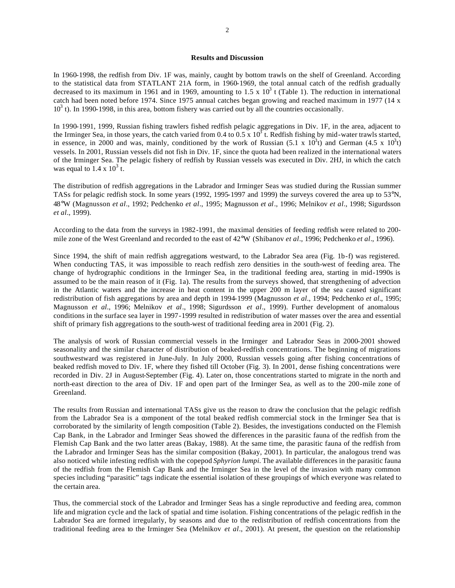#### **Results and Discussion**

In 1960-1998, the redfish from Div. 1F was, mainly, caught by bottom trawls on the shelf of Greenland. According to the statistical data from STATLANT 21A form, in 1960-1969, the total annual catch of the redfish gradually decreased to its maximum in 1961 and in 1969, amounting to 1.5 x  $10^3$  t (Table 1). The reduction in international catch had been noted before 1974. Since 1975 annual catches began growing and reached maximum in 1977 (14 x  $10<sup>3</sup>$  t). In 1990-1998, in this area, bottom fishery was carried out by all the countries occasionally.

In 1990-1991, 1999, Russian fishing trawlers fished redfish pelagic aggregations in Div. 1F, in the area, adjacent to the Irminger Sea, in those years, the catch varied from 0.4 to 0.5 x  $10^3$  t. Redfish fishing by mid-water trawls started, in essence, in 2000 and was, mainly, conditioned by the work of Russian (5.1 x  $10^3$ t) and German (4.5 x  $10^3$ t) vessels. In 2001, Russian vessels did not fish in Div. 1F, since the quota had been realized in the international waters of the Irminger Sea. The pelagic fishery of redfish by Russian vessels was executed in Div. 2HJ, in which the catch was equal to  $1.4 \times 10^3$  t.

The distribution of redfish aggregations in the Labrador and Irminger Seas was studied during the Russian summer TASs for pelagic redfish stock. In some years (1992, 1995-1997 and 1999) the surveys covered the area up to 53°N, 48°W (Magnusson *et al*., 1992; Pedchenko *et al*., 1995; Magnusson *et al*., 1996; Melnikov *et al*., 1998; Sigurdsson *et al*., 1999).

According to the data from the surveys in 1982-1991, the maximal densities of feeding redfish were related to 200 mile zone of the West Greenland and recorded to the east of 42°W (Shibanov *et al*., 1996; Pedchenko *et al*., 1996).

Since 1994, the shift of main redfish aggregations westward, to the Labrador Sea area (Fig. 1b-f) was registered. When conducting TAS, it was impossible to reach redfish zero densities in the south-west of feeding area. The change of hydrographic conditions in the Irminger Sea, in the traditional feeding area, starting in mid-1990s is assumed to be the main reason of it (Fig. 1a). The results from the surveys showed, that strengthening of advection in the Atlantic waters and the increase in heat content in the upper 200 m layer of the sea caused significant redistribution of fish aggregations by area and depth in 1994-1999 (Magnusson *et al*., 1994; Pedchenko *et al*., 1995; Magnusson *et al*., 1996; Melnikov *et al*., 1998; Sigurdsson *et al*., 1999). Further development of anomalous conditions in the surface sea layer in 1997-1999 resulted in redistribution of water masses over the area and essential shift of primary fish aggregations to the south-west of traditional feeding area in 2001 (Fig. 2).

The analysis of work of Russian commercial vessels in the Irminger and Labrador Seas in 2000-2001 showed seasonality and the similar character of distribution of beaked-redfish concentrations. The beginning of migrations southwestward was registered in June-July. In July 2000, Russian vessels going after fishing concentrations of beaked redfish moved to Div. 1F, where they fished till October (Fig. 3). In 2001, dense fishing concentrations were recorded in Div. 2J in August-September (Fig. 4). Later on, those concentrations started to migrate in the north and north-east direction to the area of Div. 1F and open part of the Irminger Sea, as well as to the 200-mile zone of Greenland.

The results from Russian and international TASs give us the reason to draw the conclusion that the pelagic redfish from the Labrador Sea is a component of the total beaked redfish commercial stock in the Irminger Sea that is corroborated by the similarity of length composition (Table 2). Besides, the investigations conducted on the Flemish Cap Bank, in the Labrador and Irminger Seas showed the differences in the parasitic fauna of the redfish from the Flemish Cap Bank and the two latter areas (Bakay, 1988). At the same time, the parasitic fauna of the redfish from the Labrador and Irminger Seas has the similar composition (Bakay, 2001). In particular, the analogous trend was also noticed while infesting redfish with the copepod *Sphyrion lumpi.* The available differences in the parasitic fauna of the redfish from the Flemish Cap Bank and the Irminger Sea in the level of the invasion with many common species including "parasitic" tags indicate the essential isolation of these groupings of which everyone was related to the certain area.

Thus, the commercial stock of the Labrador and Irminger Seas has a single reproductive and feeding area, common life and migration cycle and the lack of spatial and time isolation. Fishing concentrations of the pelagic redfish in the Labrador Sea are formed irregularly, by seasons and due to the redistribution of redfish concentrations from the traditional feeding area to the Irminger Sea (Melnikov *et al*., 2001). At present, the question on the relationship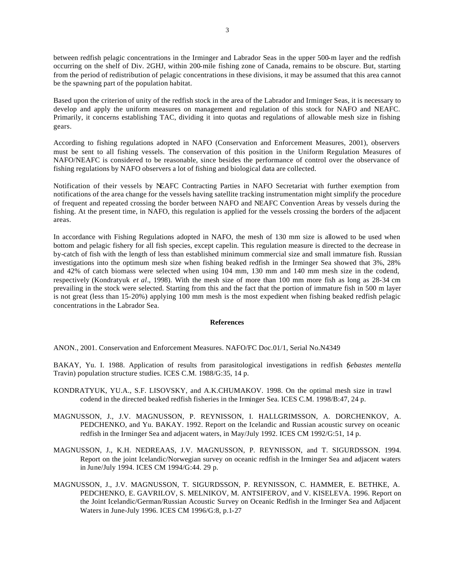between redfish pelagic concentrations in the Irminger and Labrador Seas in the upper 500-m layer and the redfish occurring on the shelf of Div. 2GHJ, within 200-mile fishing zone of Canada, remains to be obscure. But, starting from the period of redistribution of pelagic concentrations in these divisions, it may be assumed that this area cannot be the spawning part of the population habitat.

Based upon the criterion of unity of the redfish stock in the area of the Labrador and Irminger Seas, it is necessary to develop and apply the uniform measures on management and regulation of this stock for NAFO and NEAFC. Primarily, it concerns establishing TAC, dividing it into quotas and regulations of allowable mesh size in fishing gears.

According to fishing regulations adopted in NAFO (Conservation and Enforcement Measures, 2001), observers must be sent to all fishing vessels. The conservation of this position in the Uniform Regulation Measures of NAFO/NEAFC is considered to be reasonable, since besides the performance of control over the observance of fishing regulations by NAFO observers a lot of fishing and biological data are collected.

Notification of their vessels by NEAFC Contracting Parties in NAFO Secretariat with further exemption from notifications of the area change for the vessels having satellite tracking instrumentation might simplify the procedure of frequent and repeated crossing the border between NAFO and NEAFC Convention Areas by vessels during the fishing. At the present time, in NAFO, this regulation is applied for the vessels crossing the borders of the adjacent areas.

In accordance with Fishing Regulations adopted in NAFO, the mesh of 130 mm size is allowed to be used when bottom and pelagic fishery for all fish species, except capelin. This regulation measure is directed to the decrease in by-catch of fish with the length of less than established minimum commercial size and small immature fish. Russian investigations into the optimum mesh size when fishing beaked redfish in the Irminger Sea showed that 3%, 28% and 42% of catch biomass were selected when using 104 mm, 130 mm and 140 mm mesh size in the codend, respectively (Kondratyuk *et al*., 1998). With the mesh size of more than 100 mm more fish as long as 28-34 cm prevailing in the stock were selected. Starting from this and the fact that the portion of immature fish in 500 m layer is not great (less than 15-20%) applying 100 mm mesh is the most expedient when fishing beaked redfish pelagic concentrations in the Labrador Sea.

### **References**

ANON., 2001. Conservation and Enforcement Measures. NAFO/FC Doc.01/1, Serial No.N4349

BAKAY, Yu. I. 1988. Application of results from parasitological investigations in redfish (*Sebastes mentella* Travin) population structure studies. ICES C.M. 1988/G:35, 14 p.

- KONDRATYUK, YU.A., S.F. LISOVSKY, and A.K.CHUMAKOV. 1998. On the optimal mesh size in trawl codend in the directed beaked redfish fisheries in the Irminger Sea. ICES C.M. 1998/B:47, 24 p.
- MAGNUSSON, J., J.V. MAGNUSSON, P. REYNISSON, I. HALLGRIMSSON, A. DORCHENKOV, A. PEDCHENKO, and Yu. BAKAY. 1992. Report on the Icelandic and Russian acoustic survey on oceanic redfish in the Irminger Sea and adjacent waters, in May/July 1992. ICES CM 1992/G:51, 14 p.
- MAGNUSSON, J., K.H. NEDREAAS, J.V. MAGNUSSON, P. REYNISSON, and T. SIGURDSSON. 1994. Report on the joint Icelandic/Norwegian survey on oceanic redfish in the Irminger Sea and adjacent waters in June/July 1994. ICES CM 1994/G:44. 29 p.
- MAGNUSSON, J., J.V. MAGNUSSON, T. SIGURDSSON, P. REYNISSON, C. HAMMER, E. BETHKE, A. PEDCHENKO, E. GAVRILOV, S. MELNIKOV, M. ANTSIFEROV, and V. KISELEVA. 1996. Report on the Joint Icelandic/German/Russian Acoustic Survey on Oceanic Redfish in the Irminger Sea and Adjacent Waters in June-July 1996. ICES CM 1996/G:8, p.1-27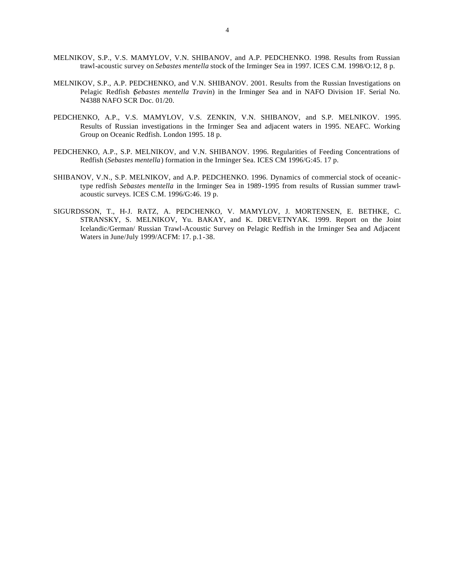- MELNIKOV, S.P., V.S. MAMYLOV, V.N. SHIBANOV, and A.P. PEDCHENKO. 1998. Results from Russian trawl-acoustic survey on *Sebastes mentella* stock of the Irminger Sea in 1997. ICES C.M. 1998/O:12, 8 p.
- MELNIKOV, S.P., A.P. PEDCHENKO, and V.N. SHIBANOV. 2001. Results from the Russian Investigations on Pelagic Redfish (*Sebastes mentella Travin*) in the Irminger Sea and in NAFO Division 1F. Serial No. N4388 NAFO SCR Doc. 01/20.
- PEDCHENKO, A.P., V.S. MAMYLOV, V.S. ZENKIN, V.N. SHIBANOV, and S.P. MELNIKOV. 1995. Results of Russian investigations in the Irminger Sea and adjacent waters in 1995. NEAFC. Working Group on Oceanic Redfish. London 1995. 18 p.
- PEDCHENKO, A.P., S.P. MELNIKOV, and V.N. SHIBANOV. 1996. Regularities of Feeding Concentrations of Redfish (*Sebastes mentella*) formation in the Irminger Sea. ICES CM 1996/G:45. 17 p.
- SHIBANOV, V.N., S.P. MELNIKOV, and A.P. PEDCHENKO. 1996. Dynamics of commercial stock of oceanictype redfish *Sebastes mentella* in the Irminger Sea in 1989-1995 from results of Russian summer trawlacoustic surveys. ICES C.M. 1996/G:46. 19 p.
- SIGURDSSON, T., H-J. RATZ, A. PEDCHENKO, V. MAMYLOV, J. MORTENSEN, E. BETHKE, C. STRANSKY, S. MELNIKOV, Yu. BAKAY, and K. DREVETNYAK. 1999. Report on the Joint Icelandic/German/ Russian Trawl-Acoustic Survey on Pelagic Redfish in the Irminger Sea and Adjacent Waters in June/July 1999/ACFM: 17. p.1-38.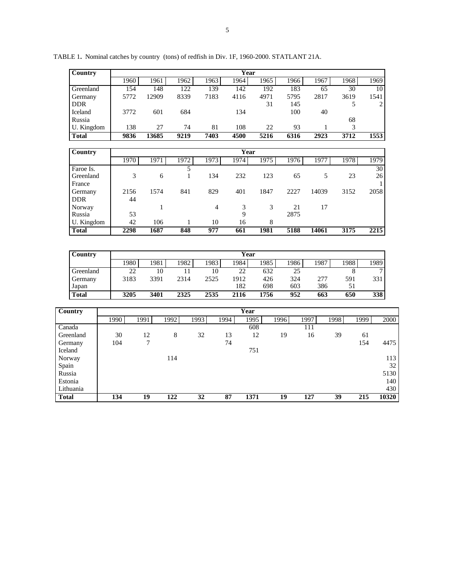| Country                     | Year |                 |        |                  |      |                  |                 |      |            |            |                  |            |                 |      |                 |  |
|-----------------------------|------|-----------------|--------|------------------|------|------------------|-----------------|------|------------|------------|------------------|------------|-----------------|------|-----------------|--|
|                             |      | 1960            | 1961   | 1962             |      | 1963             | 1964            |      | 1965       | 1966       |                  | 1967       | 1968            |      | 1969            |  |
| Greenland                   |      | 154             | 148    | 122              |      | 139              | 142             |      | 192        | 183        |                  | 65         | 30              |      | 10              |  |
| Germany                     |      | 5772            | 12909  | 8339             |      | 7183             | 4116            |      | 4971       | 5795       |                  | 2817       | 3619            |      | 1541            |  |
| <b>DDR</b>                  |      |                 |        |                  |      |                  |                 |      | 31         | 145        |                  |            | 5               |      | 2               |  |
| Iceland                     |      | 3772            | 601    | 684              |      |                  | 134             |      |            | 100        |                  | 40         |                 |      |                 |  |
| Russia                      |      |                 |        |                  |      |                  |                 |      |            |            |                  |            | 68              |      |                 |  |
| U. Kingdom                  |      | 138             | 27     | 74               |      | 81               | 108             |      | 22         | 93         |                  | 1          | 3               |      |                 |  |
| <b>Total</b>                |      | 9836            | 13685  | 9219             |      | 7403             | 4500            |      | 5216       | 6316       |                  | 2923       | 3712            |      | 1553            |  |
|                             |      |                 |        |                  |      |                  |                 |      |            |            |                  |            |                 |      |                 |  |
| Country                     |      |                 |        |                  |      |                  | <b>Year</b>     |      |            |            |                  |            |                 |      |                 |  |
|                             |      | 1970            | 1971   | 1972             |      | 1973             | 1974            |      | 1975       | 1976       |                  | 1977       | 1978            |      | 1979            |  |
| Faroe Is.                   |      |                 |        | 5                |      |                  |                 |      |            |            |                  |            |                 |      | $\overline{30}$ |  |
| Greenland                   |      | 3               | 6      | $\mathbf{1}$     |      | 134              | 232             |      | 123        | 65         |                  | 5          | 23              |      | 26              |  |
| France                      |      |                 |        |                  |      |                  |                 |      |            |            |                  |            |                 |      |                 |  |
| Germany                     |      | 2156            | 1574   | 841              |      | 829              | 401             |      | 1847       | 2227       |                  | 14039      | 3152            |      | 2058            |  |
| <b>DDR</b>                  |      | 44              |        |                  |      |                  |                 |      |            |            |                  |            |                 |      |                 |  |
| Norway                      |      |                 | 1      |                  |      | $\overline{4}$   | 3               |      | 3          | 21         |                  | 17         |                 |      |                 |  |
| Russia                      |      | 53              |        |                  |      |                  | 9               |      |            | 2875       |                  |            |                 |      |                 |  |
| U. Kingdom                  |      | 42              | 106    | 1                |      | 10               | 16              |      | 8          |            |                  |            |                 |      |                 |  |
| <b>Total</b>                |      | 2298            | 1687   | 848              |      | $\overline{977}$ | 661             |      | 1981       | 5188       | 14061            |            | 3175            |      | 2215            |  |
|                             |      |                 |        |                  |      |                  |                 |      |            |            |                  |            |                 |      |                 |  |
| Country                     |      |                 |        |                  |      |                  | Year            |      |            |            |                  |            |                 |      |                 |  |
|                             |      | 1980            | 1981   | 1982             |      | 1983             | 1984            |      | 1985       | 1986       |                  | 1987       | 1988            |      | 1989            |  |
|                             |      |                 |        |                  |      |                  |                 |      |            |            |                  |            |                 |      |                 |  |
| Greenland                   |      | $\overline{22}$ | 10     | 11               |      | 10               | $\overline{22}$ |      | 632        | 25         |                  |            | 8               |      | 7               |  |
| Germany                     |      | 3183            | 3391   | 2314             |      | 2525             | 1912<br>182     |      | 426<br>698 | 324<br>603 |                  | 277<br>386 | 591<br>51       |      | 331             |  |
| Japan<br><b>Total</b>       |      | 3205            | 3401   | 2325             |      | 2535             | 2116            |      | 1756       | 952        |                  | 663        | 650             |      | 338             |  |
|                             |      |                 |        |                  |      |                  |                 |      |            |            |                  |            |                 |      |                 |  |
| $\overline{\text{Country}}$ |      |                 |        |                  |      |                  | Year            |      |            |            |                  |            |                 |      |                 |  |
|                             | 1990 | 1991            |        | 1992             | 1993 | 1994             |                 | 1995 | 1996       |            | 1997             | 1998       |                 | 1999 | 2000            |  |
| $\overline{\text{Canada}}$  |      |                 |        |                  |      |                  |                 | 608  |            |            | 111              |            |                 |      |                 |  |
| Greenland                   | 30   | 12              |        | $\,8\,$          | 32   | 13               |                 | 12   |            | 19         | 16               |            | 39              | 61   |                 |  |
| Germany                     | 104  |                 | $\tau$ |                  |      | 74               |                 |      |            |            |                  |            |                 | 154  | 4475            |  |
| Iceland                     |      |                 |        |                  |      |                  |                 | 751  |            |            |                  |            |                 |      |                 |  |
| Norway                      |      |                 |        | 114              |      |                  |                 |      |            |            |                  |            |                 |      | 113             |  |
| Spain                       |      |                 |        |                  |      |                  |                 |      |            |            |                  |            |                 |      | 32              |  |
| Russia                      |      |                 |        |                  |      |                  |                 |      |            |            |                  |            |                 |      | 5130            |  |
| Estonia                     |      |                 |        |                  |      |                  |                 |      |            |            |                  |            |                 |      | 140             |  |
| Lithuania                   |      |                 |        |                  |      |                  |                 |      |            |            |                  |            |                 |      | 430             |  |
| <b>Total</b>                | 134  | $\overline{19}$ |        | $\overline{122}$ | 32   | 87               |                 | 1371 |            | 19         | $\overline{127}$ |            | $\overline{39}$ | 215  | 10320           |  |
|                             |      |                 |        |                  |      |                  |                 |      |            |            |                  |            |                 |      |                 |  |

TABLE 1**.** Nominal catches by country (tons) of redfish in Div. 1F, 1960-2000. STATLANT 21A.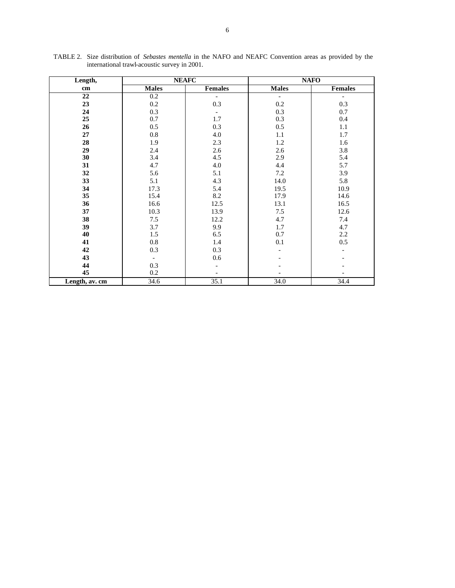| Length,        |              | <b>NEAFC</b>             | <b>NAFO</b>              |                          |  |  |
|----------------|--------------|--------------------------|--------------------------|--------------------------|--|--|
| cm             | <b>Males</b> | Females                  | <b>Males</b>             | <b>Females</b>           |  |  |
| 22             | 0.2          | $\overline{\phantom{a}}$ | $\overline{\phantom{a}}$ | $\overline{\phantom{a}}$ |  |  |
| 23             | 0.2          | 0.3                      | 0.2                      | 0.3                      |  |  |
| 24             | 0.3          | $\overline{\phantom{a}}$ | 0.3                      | 0.7                      |  |  |
| 25             | 0.7          | 1.7                      | 0.3                      | $0.4\,$                  |  |  |
| 26             | 0.5          | 0.3                      | 0.5                      | $1.1\,$                  |  |  |
| 27             | $0.8\,$      | 4.0                      | 1.1                      | 1.7                      |  |  |
| 28             | 1.9          | 2.3                      | 1.2                      | 1.6                      |  |  |
| 29             | 2.4          | 2.6                      | 2.6                      | 3.8                      |  |  |
| 30             | 3.4          | 4.5                      | 2.9                      | 5.4                      |  |  |
| 31             | 4.7          | 4.0                      | 4.4                      | 5.7                      |  |  |
| 32             | 5.6          | 5.1                      | 7.2                      | 3.9                      |  |  |
| 33             | 5.1          | 4.3                      | 14.0                     | 5.8                      |  |  |
| 34             | 17.3         | 5.4                      | 19.5                     | 10.9                     |  |  |
| 35             | 15.4         | 8.2                      | 17.9                     | 14.6                     |  |  |
| 36             | 16.6         | 12.5                     | 13.1                     | 16.5                     |  |  |
| 37             | 10.3         | 13.9                     | $7.5\,$                  | 12.6                     |  |  |
| 38             | 7.5          | 12.2                     | 4.7                      | 7.4                      |  |  |
| 39             | 3.7          | 9.9                      | 1.7                      | 4.7                      |  |  |
| 40             | 1.5          | 6.5                      | 0.7                      | $2.2\,$                  |  |  |
| 41             | 0.8          | 1.4                      | 0.1                      | 0.5                      |  |  |
| 42             | 0.3          | 0.3                      |                          |                          |  |  |
| 43             |              | 0.6                      |                          |                          |  |  |
| 44             | 0.3          |                          |                          |                          |  |  |
| 45             | 0.2          |                          |                          |                          |  |  |
| Length, av. cm | 34.6         | 35.1                     | 34.0                     | 34.4                     |  |  |

TABLE 2. Size distribution of *Sebastes mentella* in the NAFO and NEAFC Convention areas as provided by the international trawl-acoustic survey in 2001.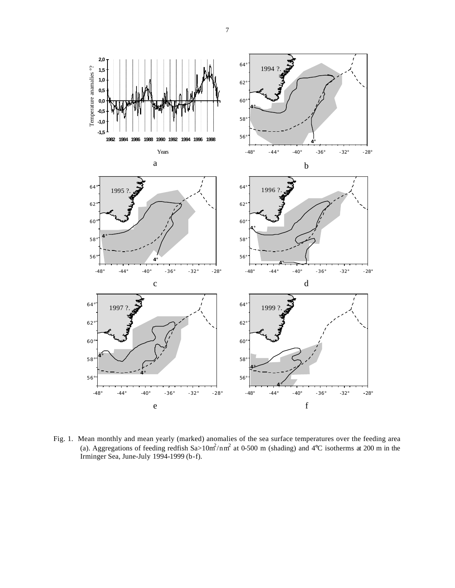

Fig. 1. Mean monthly and mean yearly (marked) anomalies of the sea surface temperatures over the feeding area (a). Aggregations of feeding redfish  $Sa>10m^2/nm^2$  at 0-500 m (shading) and 4°C isotherms at 200 m in the Irminger Sea, June-July 1994-1999 (b-f).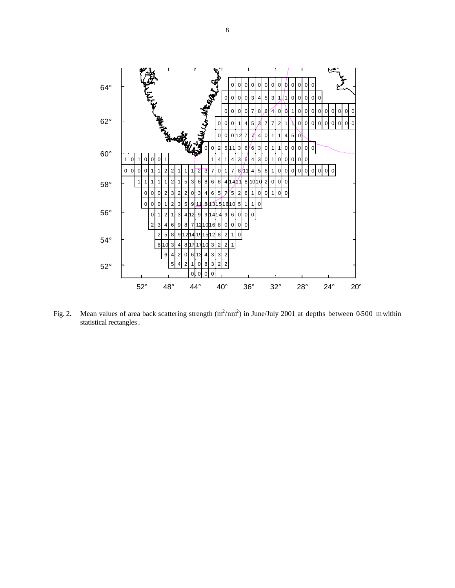

Fig. 2. Mean values of area back scattering strength  $(m^2/nm^2)$  in June/July 2001 at depths between 0-500 m within statistical rectangles.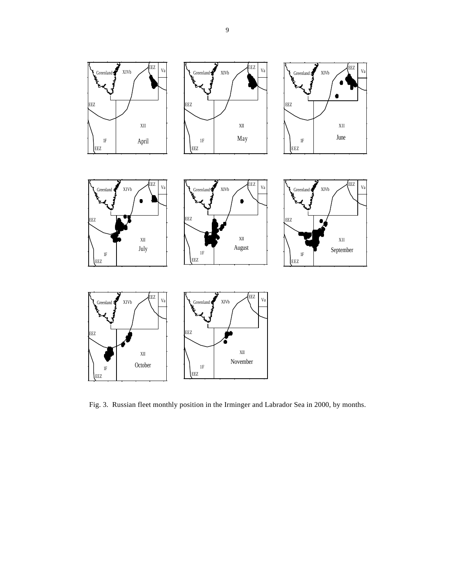

Fig. 3. Russian fleet monthly position in the Irminger and Labrador Sea in 2000, by months.